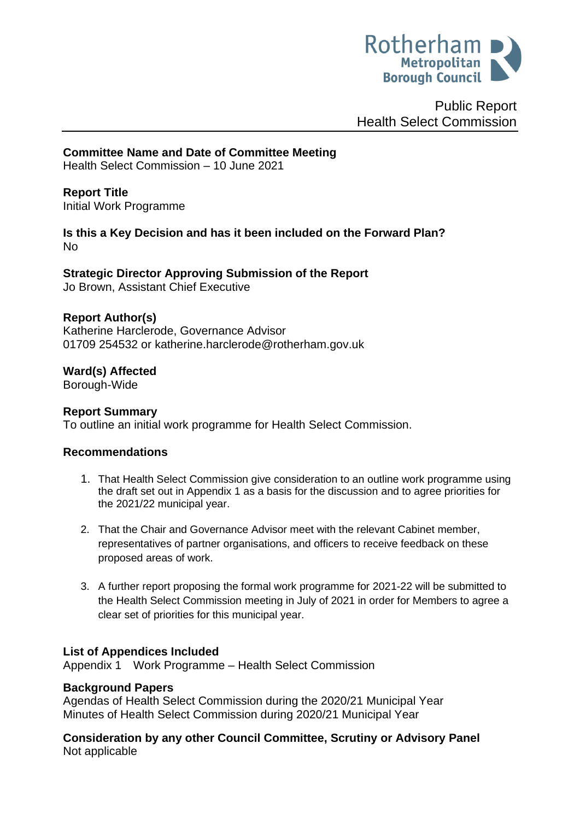

Public Report Health Select Commission

**Committee Name and Date of Committee Meeting**

Health Select Commission – 10 June 2021

<span id="page-0-0"></span>**Report Title** Initial Work Programme

**Is this a Key Decision and has it been included on the Forward Plan?**  No

**Strategic Director Approving Submission of the Report** Jo Brown, Assistant Chief Executive

### **Report Author(s)**

Katherine Harclerode, Governance Advisor 01709 254532 or katherine.harclerode@rotherham.gov.uk

**Ward(s) Affected** Borough-Wide

### **Report Summary**

To outline an initial work programme for Health Select Commission.

### **Recommendations**

- 1. That Health Select Commission give consideration to an outline work programme using the draft set out in Appendix 1 as a basis for the discussion and to agree priorities for the 2021/22 municipal year.
- 2. That the Chair and Governance Advisor meet with the relevant Cabinet member, representatives of partner organisations, and officers to receive feedback on these proposed areas of work.
- 3. A further report proposing the formal work programme for 2021-22 will be submitted to the Health Select Commission meeting in July of 2021 in order for Members to agree a clear set of priorities for this municipal year.

### **List of Appendices Included**

Appendix 1 Work Programme – Health Select Commission

### **Background Papers**

Agendas of Health Select Commission during the 2020/21 Municipal Year Minutes of Health Select Commission during 2020/21 Municipal Year

**Consideration by any other Council Committee, Scrutiny or Advisory Panel** Not applicable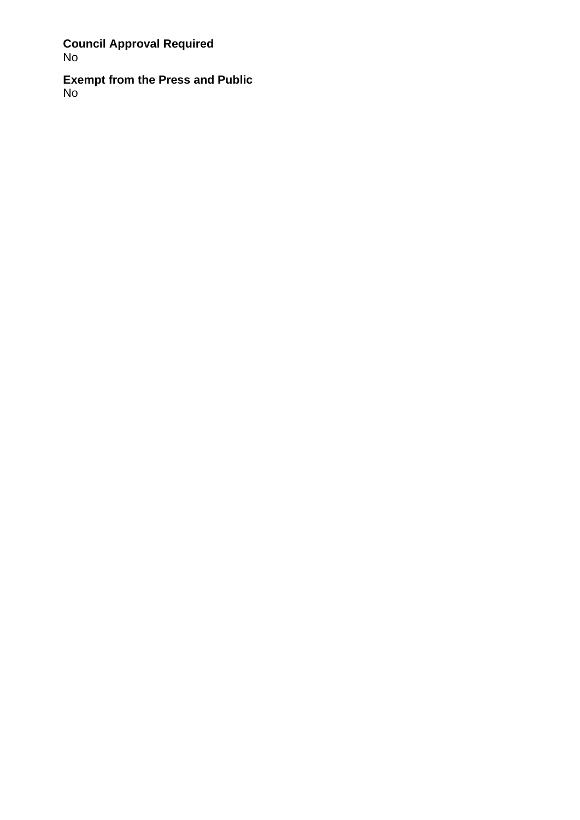# **Council Approval Required** No

**Exempt from the Press and Public** No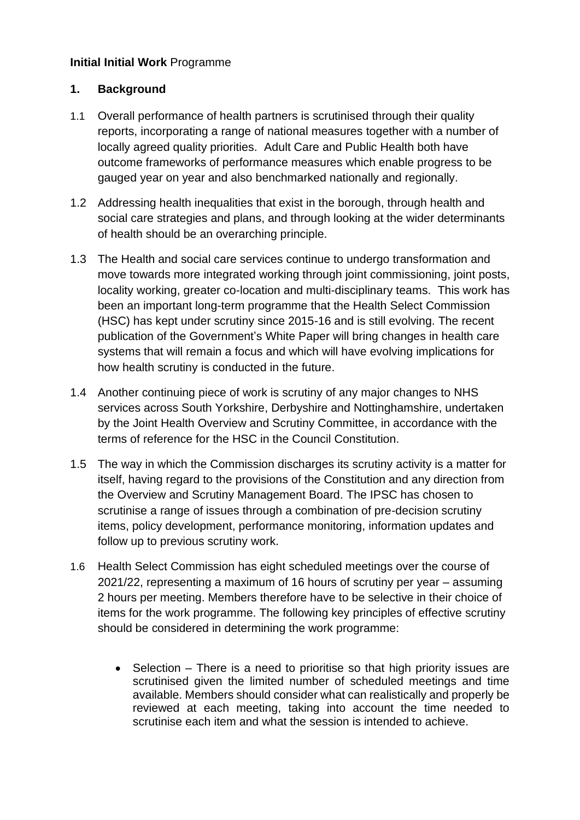# **Initial [Initial Work](#page-0-0)** Programme

### **1. Background**

- 1.1 Overall performance of health partners is scrutinised through their quality reports, incorporating a range of national measures together with a number of locally agreed quality priorities. Adult Care and Public Health both have outcome frameworks of performance measures which enable progress to be gauged year on year and also benchmarked nationally and regionally.
- 1.2 Addressing health inequalities that exist in the borough, through health and social care strategies and plans, and through looking at the wider determinants of health should be an overarching principle.
- 1.3 The Health and social care services continue to undergo transformation and move towards more integrated working through joint commissioning, joint posts, locality working, greater co-location and multi-disciplinary teams. This work has been an important long-term programme that the Health Select Commission (HSC) has kept under scrutiny since 2015-16 and is still evolving. The recent publication of the Government's White Paper will bring changes in health care systems that will remain a focus and which will have evolving implications for how health scrutiny is conducted in the future.
- 1.4 Another continuing piece of work is scrutiny of any major changes to NHS services across South Yorkshire, Derbyshire and Nottinghamshire, undertaken by the Joint Health Overview and Scrutiny Committee, in accordance with the terms of reference for the HSC in the Council Constitution.
- 1.5 The way in which the Commission discharges its scrutiny activity is a matter for itself, having regard to the provisions of the Constitution and any direction from the Overview and Scrutiny Management Board. The IPSC has chosen to scrutinise a range of issues through a combination of pre-decision scrutiny items, policy development, performance monitoring, information updates and follow up to previous scrutiny work.
- 1.6 Health Select Commission has eight scheduled meetings over the course of 2021/22, representing a maximum of 16 hours of scrutiny per year – assuming 2 hours per meeting. Members therefore have to be selective in their choice of items for the work programme. The following key principles of effective scrutiny should be considered in determining the work programme:
	- Selection There is a need to prioritise so that high priority issues are scrutinised given the limited number of scheduled meetings and time available. Members should consider what can realistically and properly be reviewed at each meeting, taking into account the time needed to scrutinise each item and what the session is intended to achieve.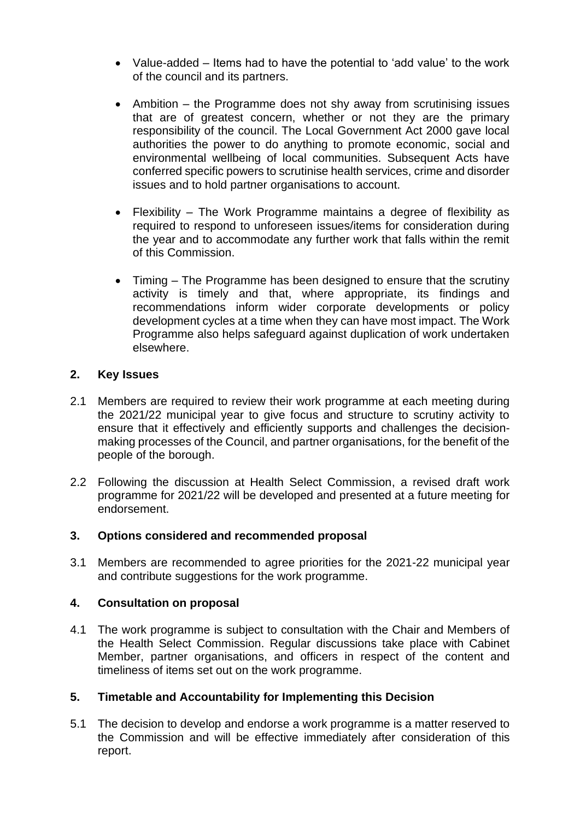- Value-added Items had to have the potential to 'add value' to the work of the council and its partners.
- Ambition the Programme does not shy away from scrutinising issues that are of greatest concern, whether or not they are the primary responsibility of the council. The Local Government Act 2000 gave local authorities the power to do anything to promote economic, social and environmental wellbeing of local communities. Subsequent Acts have conferred specific powers to scrutinise health services, crime and disorder issues and to hold partner organisations to account.
- Flexibility The Work Programme maintains a degree of flexibility as required to respond to unforeseen issues/items for consideration during the year and to accommodate any further work that falls within the remit of this Commission.
- Timing The Programme has been designed to ensure that the scrutiny activity is timely and that, where appropriate, its findings and recommendations inform wider corporate developments or policy development cycles at a time when they can have most impact. The Work Programme also helps safeguard against duplication of work undertaken elsewhere.

### **2. Key Issues**

- 2.1 Members are required to review their work programme at each meeting during the 2021/22 municipal year to give focus and structure to scrutiny activity to ensure that it effectively and efficiently supports and challenges the decisionmaking processes of the Council, and partner organisations, for the benefit of the people of the borough.
- 2.2 Following the discussion at Health Select Commission, a revised draft work programme for 2021/22 will be developed and presented at a future meeting for endorsement.

# **3. Options considered and recommended proposal**

3.1 Members are recommended to agree priorities for the 2021-22 municipal year and contribute suggestions for the work programme.

### **4. Consultation on proposal**

4.1 The work programme is subject to consultation with the Chair and Members of the Health Select Commission. Regular discussions take place with Cabinet Member, partner organisations, and officers in respect of the content and timeliness of items set out on the work programme.

# **5. Timetable and Accountability for Implementing this Decision**

5.1 The decision to develop and endorse a work programme is a matter reserved to the Commission and will be effective immediately after consideration of this report.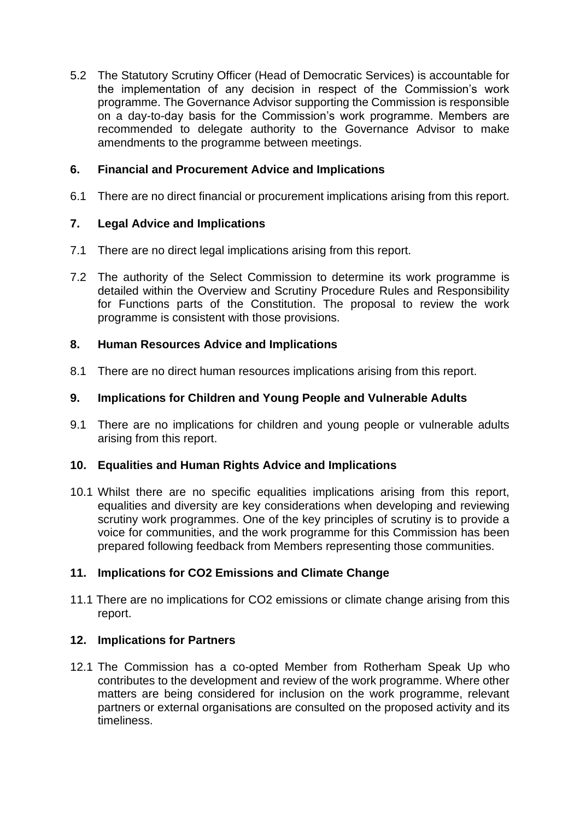5.2 The Statutory Scrutiny Officer (Head of Democratic Services) is accountable for the implementation of any decision in respect of the Commission's work programme. The Governance Advisor supporting the Commission is responsible on a day-to-day basis for the Commission's work programme. Members are recommended to delegate authority to the Governance Advisor to make amendments to the programme between meetings.

## **6. Financial and Procurement Advice and Implications**

6.1 There are no direct financial or procurement implications arising from this report.

### **7. Legal Advice and Implications**

- 7.1 There are no direct legal implications arising from this report.
- 7.2 The authority of the Select Commission to determine its work programme is detailed within the Overview and Scrutiny Procedure Rules and Responsibility for Functions parts of the Constitution. The proposal to review the work programme is consistent with those provisions.

### **8. Human Resources Advice and Implications**

8.1 There are no direct human resources implications arising from this report.

### **9. Implications for Children and Young People and Vulnerable Adults**

9.1 There are no implications for children and young people or vulnerable adults arising from this report.

### **10. Equalities and Human Rights Advice and Implications**

10.1 Whilst there are no specific equalities implications arising from this report, equalities and diversity are key considerations when developing and reviewing scrutiny work programmes. One of the key principles of scrutiny is to provide a voice for communities, and the work programme for this Commission has been prepared following feedback from Members representing those communities.

### **11. Implications for CO2 Emissions and Climate Change**

11.1 There are no implications for CO2 emissions or climate change arising from this report.

### **12. Implications for Partners**

12.1 The Commission has a co-opted Member from Rotherham Speak Up who contributes to the development and review of the work programme. Where other matters are being considered for inclusion on the work programme, relevant partners or external organisations are consulted on the proposed activity and its timeliness.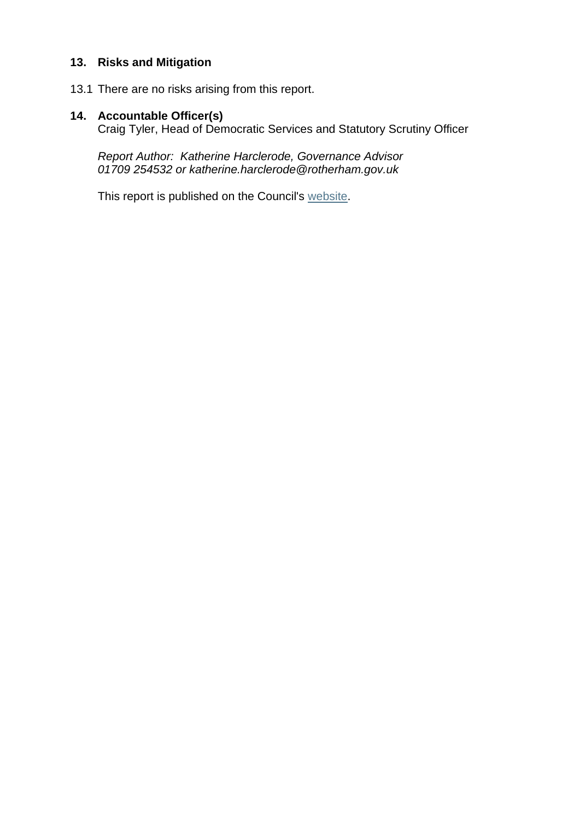### **13. Risks and Mitigation**

13.1 There are no risks arising from this report.

## **14. Accountable Officer(s)**

Craig Tyler, Head of Democratic Services and Statutory Scrutiny Officer

*Report Author: Katherine Harclerode, Governance Advisor 01709 254532 or katherine.harclerode@rotherham.gov.uk*

This report is published on the Council's [website.](https://moderngov.rotherham.gov.uk/ieDocHome.aspx?Categories=)